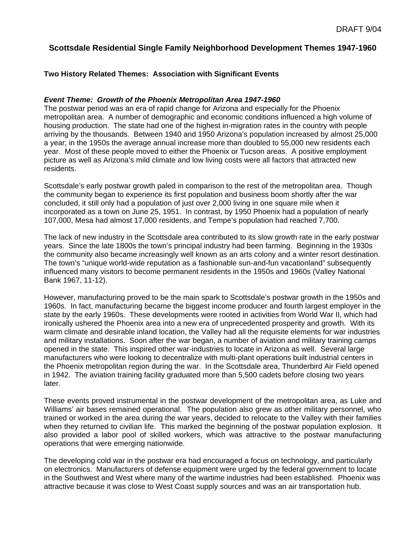# **Scottsdale Residential Single Family Neighborhood Development Themes 1947-1960**

## **Two History Related Themes: Association with Significant Events**

#### *Event Theme: Growth of the Phoenix Metropolitan Area 1947-1960*

The postwar period was an era of rapid change for Arizona and especially for the Phoenix metropolitan area. A number of demographic and economic conditions influenced a high volume of housing production. The state had one of the highest in-migration rates in the country with people arriving by the thousands. Between 1940 and 1950 Arizona's population increased by almost 25,000 a year; in the 1950s the average annual increase more than doubled to 55,000 new residents each year. Most of these people moved to either the Phoenix or Tucson areas. A positive employment picture as well as Arizona's mild climate and low living costs were all factors that attracted new residents.

Scottsdale's early postwar growth paled in comparison to the rest of the metropolitan area. Though the community began to experience its first population and business boom shortly after the war concluded, it still only had a population of just over 2,000 living in one square mile when it incorporated as a town on June 25, 1951. In contrast, by 1950 Phoenix had a population of nearly 107,000, Mesa had almost 17,000 residents, and Tempe's population had reached 7,700.

The lack of new industry in the Scottsdale area contributed to its slow growth rate in the early postwar years. Since the late 1800s the town's principal industry had been farming. Beginning in the 1930s the community also became increasingly well known as an arts colony and a winter resort destination. The town's "unique world-wide reputation as a fashionable sun-and-fun vacationland" subsequently influenced many visitors to become permanent residents in the 1950s and 1960s (Valley National Bank 1967, 11-12).

However, manufacturing proved to be the main spark to Scottsdale's postwar growth in the 1950s and 1960s. In fact, manufacturing became the biggest income producer and fourth largest employer in the state by the early 1960s. These developments were rooted in activities from World War II, which had ironically ushered the Phoenix area into a new era of unprecedented prosperity and growth. With its warm climate and desirable inland location, the Valley had all the requisite elements for war industries and military installations. Soon after the war began, a number of aviation and military training camps opened in the state. This inspired other war-industries to locate in Arizona as well. Several large manufacturers who were looking to decentralize with multi-plant operations built industrial centers in the Phoenix metropolitan region during the war. In the Scottsdale area, Thunderbird Air Field opened in 1942. The aviation training facility graduated more than 5,500 cadets before closing two years later.

These events proved instrumental in the postwar development of the metropolitan area, as Luke and Williams' air bases remained operational. The population also grew as other military personnel, who trained or worked in the area during the war years, decided to relocate to the Valley with their families when they returned to civilian life. This marked the beginning of the postwar population explosion. It also provided a labor pool of skilled workers, which was attractive to the postwar manufacturing operations that were emerging nationwide.

The developing cold war in the postwar era had encouraged a focus on technology, and particularly on electronics. Manufacturers of defense equipment were urged by the federal government to locate in the Southwest and West where many of the wartime industries had been established. Phoenix was attractive because it was close to West Coast supply sources and was an air transportation hub.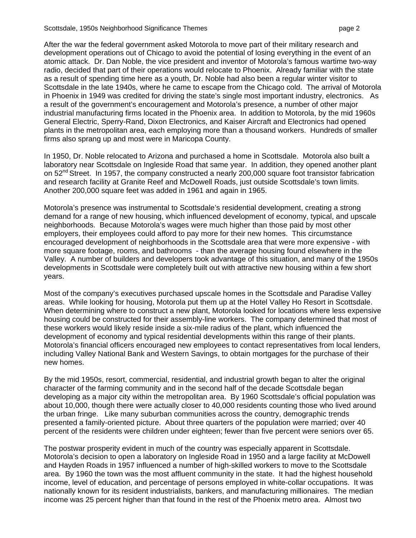After the war the federal government asked Motorola to move part of their military research and development operations out of Chicago to avoid the potential of losing everything in the event of an atomic attack. Dr. Dan Noble, the vice president and inventor of Motorola's famous wartime two-way radio, decided that part of their operations would relocate to Phoenix. Already familiar with the state as a result of spending time here as a youth, Dr. Noble had also been a regular winter visitor to Scottsdale in the late 1940s, where he came to escape from the Chicago cold. The arrival of Motorola in Phoenix in 1949 was credited for driving the state's single most important industry, electronics. As a result of the government's encouragement and Motorola's presence, a number of other major industrial manufacturing firms located in the Phoenix area. In addition to Motorola, by the mid 1960s General Electric, Sperry-Rand, Dixon Electronics, and Kaiser Aircraft and Electronics had opened plants in the metropolitan area, each employing more than a thousand workers. Hundreds of smaller firms also sprang up and most were in Maricopa County.

In 1950, Dr. Noble relocated to Arizona and purchased a home in Scottsdale. Motorola also built a laboratory near Scottsdale on Ingleside Road that same year. In addition, they opened another plant on 52<sup>nd</sup> Street. In 1957, the company constructed a nearly 200,000 square foot transistor fabrication and research facility at Granite Reef and McDowell Roads, just outside Scottsdale's town limits. Another 200,000 square feet was added in 1961 and again in 1965.

Motorola's presence was instrumental to Scottsdale's residential development, creating a strong demand for a range of new housing, which influenced development of economy, typical, and upscale neighborhoods. Because Motorola's wages were much higher than those paid by most other employers, their employees could afford to pay more for their new homes. This circumstance encouraged development of neighborhoods in the Scottsdale area that were more expensive - with more square footage, rooms, and bathrooms - than the average housing found elsewhere in the Valley. A number of builders and developers took advantage of this situation, and many of the 1950s developments in Scottsdale were completely built out with attractive new housing within a few short years.

Most of the company's executives purchased upscale homes in the Scottsdale and Paradise Valley areas. While looking for housing, Motorola put them up at the Hotel Valley Ho Resort in Scottsdale. When determining where to construct a new plant, Motorola looked for locations where less expensive housing could be constructed for their assembly-line workers. The company determined that most of these workers would likely reside inside a six-mile radius of the plant, which influenced the development of economy and typical residential developments within this range of their plants. Motorola's financial officers encouraged new employees to contact representatives from local lenders, including Valley National Bank and Western Savings, to obtain mortgages for the purchase of their new homes.

By the mid 1950s, resort, commercial, residential, and industrial growth began to alter the original character of the farming community and in the second half of the decade Scottsdale began developing as a major city within the metropolitan area. By 1960 Scottsdale's official population was about 10,000, though there were actually closer to 40,000 residents counting those who lived around the urban fringe. Like many suburban communities across the country, demographic trends presented a family-oriented picture. About three quarters of the population were married; over 40 percent of the residents were children under eighteen; fewer than five percent were seniors over 65.

The postwar prosperity evident in much of the country was especially apparent in Scottsdale. Motorola's decision to open a laboratory on Ingleside Road in 1950 and a large facility at McDowell and Hayden Roads in 1957 influenced a number of high-skilled workers to move to the Scottsdale area. By 1960 the town was the most affluent community in the state. It had the highest household income, level of education, and percentage of persons employed in white-collar occupations. It was nationally known for its resident industrialists, bankers, and manufacturing millionaires. The median income was 25 percent higher than that found in the rest of the Phoenix metro area. Almost two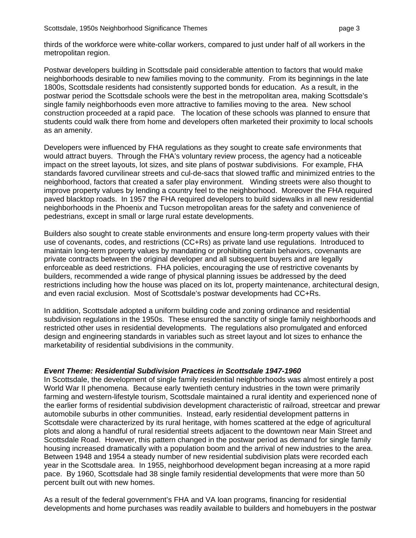thirds of the workforce were white-collar workers, compared to just under half of all workers in the metropolitan region.

Postwar developers building in Scottsdale paid considerable attention to factors that would make neighborhoods desirable to new families moving to the community. From its beginnings in the late 1800s, Scottsdale residents had consistently supported bonds for education. As a result, in the postwar period the Scottsdale schools were the best in the metropolitan area, making Scottsdale's single family neighborhoods even more attractive to families moving to the area. New school construction proceeded at a rapid pace. The location of these schools was planned to ensure that students could walk there from home and developers often marketed their proximity to local schools as an amenity.

Developers were influenced by FHA regulations as they sought to create safe environments that would attract buyers. Through the FHA's voluntary review process, the agency had a noticeable impact on the street layouts, lot sizes, and site plans of postwar subdivisions. For example, FHA standards favored curvilinear streets and cul-de-sacs that slowed traffic and minimized entries to the neighborhood, factors that created a safer play environment. Winding streets were also thought to improve property values by lending a country feel to the neighborhood. Moreover the FHA required paved blacktop roads.In 1957 the FHA required developers to build sidewalks in all new residential neighborhoods in the Phoenix and Tucson metropolitan areas for the safety and convenience of pedestrians, except in small or large rural estate developments.

Builders also sought to create stable environments and ensure long-term property values with their use of covenants, codes, and restrictions (CC+Rs) as private land use regulations. Introduced to maintain long-term property values by mandating or prohibiting certain behaviors, covenants are private contracts between the original developer and all subsequent buyers and are legally enforceable as deed restrictions. FHA policies, encouraging the use of restrictive covenants by builders, recommended a wide range of physical planning issues be addressed by the deed restrictions including how the house was placed on its lot, property maintenance, architectural design, and even racial exclusion. Most of Scottsdale's postwar developments had CC+Rs.

In addition, Scottsdale adopted a uniform building code and zoning ordinance and residential subdivision regulations in the 1950s. These ensured the sanctity of single family neighborhoods and restricted other uses in residential developments. The regulations also promulgated and enforced design and engineering standards in variables such as street layout and lot sizes to enhance the marketability of residential subdivisions in the community.

#### *Event Theme: Residential Subdivision Practices in Scottsdale 1947-1960*

In Scottsdale, the development of single family residential neighborhoods was almost entirely a post World War II phenomena. Because early twentieth century industries in the town were primarily farming and western-lifestyle tourism, Scottsdale maintained a rural identity and experienced none of the earlier forms of residential subdivision development characteristic of railroad, streetcar and prewar automobile suburbs in other communities. Instead, early residential development patterns in Scottsdale were characterized by its rural heritage, with homes scattered at the edge of agricultural plots and along a handful of rural residential streets adjacent to the downtown near Main Street and Scottsdale Road. However, this pattern changed in the postwar period as demand for single family housing increased dramatically with a population boom and the arrival of new industries to the area. Between 1948 and 1954 a steady number of new residential subdivision plats were recorded each year in the Scottsdale area. In 1955, neighborhood development began increasing at a more rapid pace. By 1960, Scottsdale had 38 single family residential developments that were more than 50 percent built out with new homes.

As a result of the federal government's FHA and VA loan programs, financing for residential developments and home purchases was readily available to builders and homebuyers in the postwar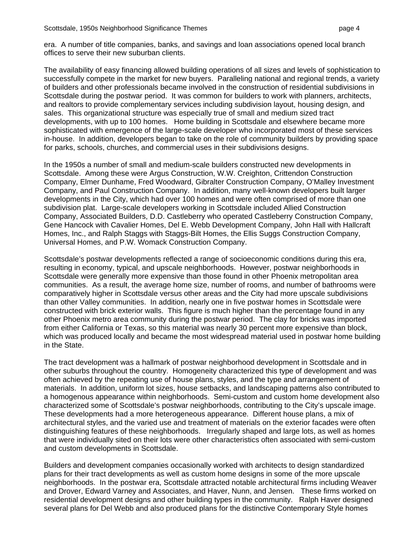era. A number of title companies, banks, and savings and loan associations opened local branch offices to serve their new suburban clients.

The availability of easy financing allowed building operations of all sizes and levels of sophistication to successfully compete in the market for new buyers. Paralleling national and regional trends, a variety of builders and other professionals became involved in the construction of residential subdivisions in Scottsdale during the postwar period. It was common for builders to work with planners, architects, and realtors to provide complementary services including subdivision layout, housing design, and sales. This organizational structure was especially true of small and medium sized tract developments, with up to 100 homes. Home building in Scottsdale and elsewhere became more sophisticated with emergence of the large-scale developer who incorporated most of these services in-house. In addition, developers began to take on the role of community builders by providing space for parks, schools, churches, and commercial uses in their subdivisions designs.

In the 1950s a number of small and medium-scale builders constructed new developments in Scottsdale. Among these were Argus Construction, W.W. Creighton, Crittendon Construction Company, Elmer Dunhame, Fred Woodward, Gibralter Construction Company, O'Malley Investment Company, and Paul Construction Company. In addition, many well-known developers built larger developments in the City, which had over 100 homes and were often comprised of more than one subdivision plat. Large-scale developers working in Scottsdale included Allied Construction Company, Associated Builders, D.D. Castleberry who operated Castleberry Construction Company, Gene Hancock with Cavalier Homes, Del E. Webb Development Company, John Hall with Hallcraft Homes, Inc., and Ralph Staggs with Staggs-Bilt Homes, the Ellis Suggs Construction Company, Universal Homes, and P.W. Womack Construction Company.

Scottsdale's postwar developments reflected a range of socioeconomic conditions during this era, resulting in economy, typical, and upscale neighborhoods. However, postwar neighborhoods in Scottsdale were generally more expensive than those found in other Phoenix metropolitan area communities. As a result, the average home size, number of rooms, and number of bathrooms were comparatively higher in Scottsdale versus other areas and the City had more upscale subdivisions than other Valley communities. In addition, nearly one in five postwar homes in Scottsdale were constructed with brick exterior walls. This figure is much higher than the percentage found in any other Phoenix metro area community during the postwar period. The clay for bricks was imported from either California or Texas, so this material was nearly 30 percent more expensive than block, which was produced locally and became the most widespread material used in postwar home building in the State.

The tract development was a hallmark of postwar neighborhood development in Scottsdale and in other suburbs throughout the country. Homogeneity characterized this type of development and was often achieved by the repeating use of house plans, styles, and the type and arrangement of materials. In addition, uniform lot sizes, house setbacks, and landscaping patterns also contributed to a homogenous appearance within neighborhoods. Semi-custom and custom home development also characterized some of Scottsdale's postwar neighborhoods, contributing to the City's upscale image. These developments had a more heterogeneous appearance. Different house plans, a mix of architectural styles, and the varied use and treatment of materials on the exterior facades were often distinguishing features of these neighborhoods. Irregularly shaped and large lots, as well as homes that were individually sited on their lots were other characteristics often associated with semi-custom and custom developments in Scottsdale.

Builders and development companies occasionally worked with architects to design standardized plans for their tract developments as well as custom home designs in some of the more upscale neighborhoods. In the postwar era, Scottsdale attracted notable architectural firms including Weaver and Drover, Edward Varney and Associates, and Haver, Nunn, and Jensen. These firms worked on residential development designs and other building types in the community. Ralph Haver designed several plans for Del Webb and also produced plans for the distinctive Contemporary Style homes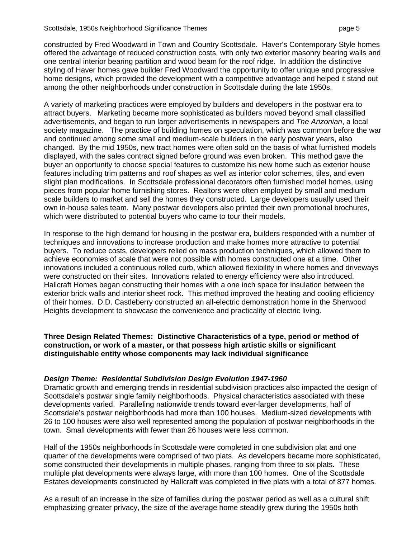constructed by Fred Woodward in Town and Country Scottsdale. Haver's Contemporary Style homes offered the advantage of reduced construction costs, with only two exterior masonry bearing walls and one central interior bearing partition and wood beam for the roof ridge. In addition the distinctive styling of Haver homes gave builder Fred Woodward the opportunity to offer unique and progressive home designs, which provided the development with a competitive advantage and helped it stand out among the other neighborhoods under construction in Scottsdale during the late 1950s.

A variety of marketing practices were employed by builders and developers in the postwar era to attract buyers. Marketing became more sophisticated as builders moved beyond small classified advertisements, and began to run larger advertisements in newspapers and *The Arizonian*, a local society magazine. The practice of building homes on speculation, which was common before the war and continued among some small and medium-scale builders in the early postwar years, also changed. By the mid 1950s, new tract homes were often sold on the basis of what furnished models displayed, with the sales contract signed before ground was even broken. This method gave the buyer an opportunity to choose special features to customize his new home such as exterior house features including trim patterns and roof shapes as well as interior color schemes, tiles, and even slight plan modifications. In Scottsdale professional decorators often furnished model homes, using pieces from popular home furnishing stores. Realtors were often employed by small and medium scale builders to market and sell the homes they constructed. Large developers usually used their own in-house sales team. Many postwar developers also printed their own promotional brochures, which were distributed to potential buyers who came to tour their models.

In response to the high demand for housing in the postwar era, builders responded with a number of techniques and innovations to increase production and make homes more attractive to potential buyers. To reduce costs, developers relied on mass production techniques, which allowed them to achieve economies of scale that were not possible with homes constructed one at a time. Other innovations included a continuous rolled curb, which allowed flexibility in where homes and driveways were constructed on their sites. Innovations related to energy efficiency were also introduced. Hallcraft Homes began constructing their homes with a one inch space for insulation between the exterior brick walls and interior sheet rock. This method improved the heating and cooling efficiency of their homes. D.D. Castleberry constructed an all-electric demonstration home in the Sherwood Heights development to showcase the convenience and practicality of electric living.

**Three Design Related Themes: Distinctive Characteristics of a type, period or method of construction, or work of a master, or that possess high artistic skills or significant distinguishable entity whose components may lack individual significance** 

#### *Design Theme: Residential Subdivision Design Evolution 1947-1960*

Dramatic growth and emerging trends in residential subdivision practices also impacted the design of Scottsdale's postwar single family neighborhoods. Physical characteristics associated with these developments varied. Paralleling nationwide trends toward ever-larger developments, half of Scottsdale's postwar neighborhoods had more than 100 houses. Medium-sized developments with 26 to 100 houses were also well represented among the population of postwar neighborhoods in the town. Small developments with fewer than 26 houses were less common.

Half of the 1950s neighborhoods in Scottsdale were completed in one subdivision plat and one quarter of the developments were comprised of two plats. As developers became more sophisticated, some constructed their developments in multiple phases, ranging from three to six plats. These multiple plat developments were always large, with more than 100 homes. One of the Scottsdale Estates developments constructed by Hallcraft was completed in five plats with a total of 877 homes.

As a result of an increase in the size of families during the postwar period as well as a cultural shift emphasizing greater privacy, the size of the average home steadily grew during the 1950s both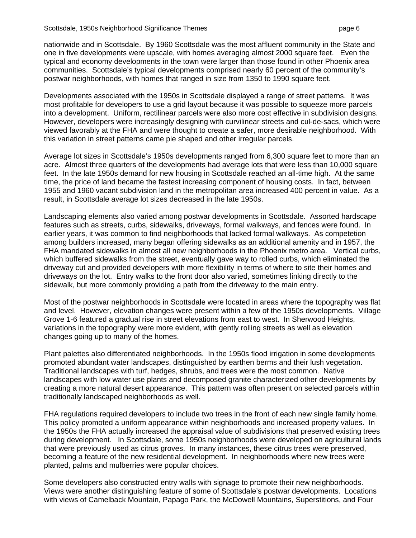nationwide and in Scottsdale. By 1960 Scottsdale was the most affluent community in the State and one in five developments were upscale, with homes averaging almost 2000 square feet. Even the typical and economy developments in the town were larger than those found in other Phoenix area communities. Scottsdale's typical developments comprised nearly 60 percent of the community's postwar neighborhoods, with homes that ranged in size from 1350 to 1990 square feet.

Developments associated with the 1950s in Scottsdale displayed a range of street patterns. It was most profitable for developers to use a grid layout because it was possible to squeeze more parcels into a development. Uniform, rectilinear parcels were also more cost effective in subdivision designs. However, developers were increasingly designing with curvilinear streets and cul-de-sacs, which were viewed favorably at the FHA and were thought to create a safer, more desirable neighborhood. With this variation in street patterns came pie shaped and other irregular parcels.

Average lot sizes in Scottsdale's 1950s developments ranged from 6,300 square feet to more than an acre. Almost three quarters of the developments had average lots that were less than 10,000 square feet. In the late 1950s demand for new housing in Scottsdale reached an all-time high. At the same time, the price of land became the fastest increasing component of housing costs. In fact, between 1955 and 1960 vacant subdivision land in the metropolitan area increased 400 percent in value. As a result, in Scottsdale average lot sizes decreased in the late 1950s.

Landscaping elements also varied among postwar developments in Scottsdale. Assorted hardscape features such as streets, curbs, sidewalks, driveways, formal walkways, and fences were found. In earlier years, it was common to find neighborhoods that lacked formal walkways. As competetion among builders increased, many began offering sidewalks as an additional amenity and in 1957, the FHA mandated sidewalks in almost all new neighborhoods in the Phoenix metro area. Vertical curbs, which buffered sidewalks from the street, eventually gave way to rolled curbs, which eliminated the driveway cut and provided developers with more flexibility in terms of where to site their homes and driveways on the lot. Entry walks to the front door also varied, sometimes linking directly to the sidewalk, but more commonly providing a path from the driveway to the main entry.

Most of the postwar neighborhoods in Scottsdale were located in areas where the topography was flat and level. However, elevation changes were present within a few of the 1950s developments. Village Grove 1-6 featured a gradual rise in street elevations from east to west. In Sherwood Heights, variations in the topography were more evident, with gently rolling streets as well as elevation changes going up to many of the homes.

Plant palettes also differentiated neighborhoods. In the 1950s flood irrigation in some developments promoted abundant water landscapes, distinguished by earthen berms and their lush vegetation. Traditional landscapes with turf, hedges, shrubs, and trees were the most common. Native landscapes with low water use plants and decomposed granite characterized other developments by creating a more natural desert appearance. This pattern was often present on selected parcels within traditionally landscaped neighborhoods as well.

FHA regulations required developers to include two trees in the front of each new single family home. This policy promoted a uniform appearance within neighborhoods and increased property values. In the 1950s the FHA actually increased the appraisal value of subdivisions that preserved existing trees during development. In Scottsdale, some 1950s neighborhoods were developed on agricultural lands that were previously used as citrus groves. In many instances, these citrus trees were preserved, becoming a feature of the new residential development. In neighborhoods where new trees were planted, palms and mulberries were popular choices.

Some developers also constructed entry walls with signage to promote their new neighborhoods. Views were another distinguishing feature of some of Scottsdale's postwar developments. Locations with views of Camelback Mountain, Papago Park, the McDowell Mountains, Superstitions, and Four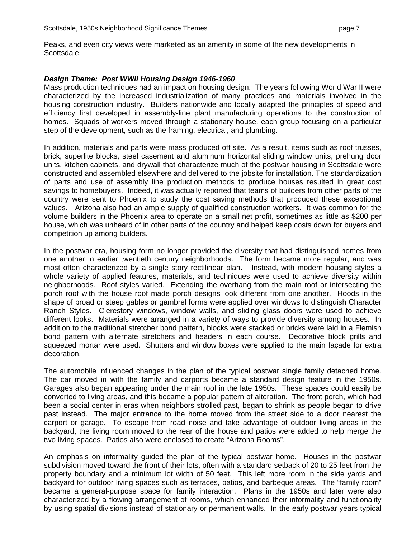Peaks, and even city views were marketed as an amenity in some of the new developments in Scottsdale.

#### *Design Theme: Post WWII Housing Design 1946-1960*

Mass production techniques had an impact on housing design. The years following World War II were characterized by the increased industrialization of many practices and materials involved in the housing construction industry. Builders nationwide and locally adapted the principles of speed and efficiency first developed in assembly-line plant manufacturing operations to the construction of homes. Squads of workers moved through a stationary house, each group focusing on a particular step of the development, such as the framing, electrical, and plumbing.

In addition, materials and parts were mass produced off site. As a result, items such as roof trusses, brick, superlite blocks, steel casement and aluminum horizontal sliding window units, prehung door units, kitchen cabinets, and drywall that characterize much of the postwar housing in Scottsdale were constructed and assembled elsewhere and delivered to the jobsite for installation. The standardization of parts and use of assembly line production methods to produce houses resulted in great cost savings to homebuyers. Indeed, it was actually reported that teams of builders from other parts of the country were sent to Phoenix to study the cost saving methods that produced these exceptional values. Arizona also had an ample supply of qualified construction workers. It was common for the volume builders in the Phoenix area to operate on a small net profit, sometimes as little as \$200 per house, which was unheard of in other parts of the country and helped keep costs down for buyers and competition up among builders.

In the postwar era, housing form no longer provided the diversity that had distinguished homes from one another in earlier twentieth century neighborhoods. The form became more regular, and was most often characterized by a single story rectilinear plan. Instead, with modern housing styles a whole variety of applied features, materials, and techniques were used to achieve diversity within neighborhoods. Roof styles varied. Extending the overhang from the main roof or intersecting the porch roof with the house roof made porch designs look different from one another. Hoods in the shape of broad or steep gables or gambrel forms were applied over windows to distinguish Character Ranch Styles. Clerestory windows, window walls, and sliding glass doors were used to achieve different looks. Materials were arranged in a variety of ways to provide diversity among houses. In addition to the traditional stretcher bond pattern, blocks were stacked or bricks were laid in a Flemish bond pattern with alternate stretchers and headers in each course. Decorative block grills and squeezed mortar were used. Shutters and window boxes were applied to the main façade for extra decoration.

The automobile influenced changes in the plan of the typical postwar single family detached home. The car moved in with the family and carports became a standard design feature in the 1950s. Garages also began appearing under the main roof in the late 1950s. These spaces could easily be converted to living areas, and this became a popular pattern of alteration. The front porch, which had been a social center in eras when neighbors strolled past, began to shrink as people began to drive past instead. The major entrance to the home moved from the street side to a door nearest the carport or garage. To escape from road noise and take advantage of outdoor living areas in the backyard, the living room moved to the rear of the house and patios were added to help merge the two living spaces. Patios also were enclosed to create "Arizona Rooms".

An emphasis on informality guided the plan of the typical postwar home. Houses in the postwar subdivision moved toward the front of their lots, often with a standard setback of 20 to 25 feet from the property boundary and a minimum lot width of 50 feet. This left more room in the side yards and backyard for outdoor living spaces such as terraces, patios, and barbeque areas. The "family room" became a general-purpose space for family interaction. Plans in the 1950s and later were also characterized by a flowing arrangement of rooms, which enhanced their informality and functionality by using spatial divisions instead of stationary or permanent walls. In the early postwar years typical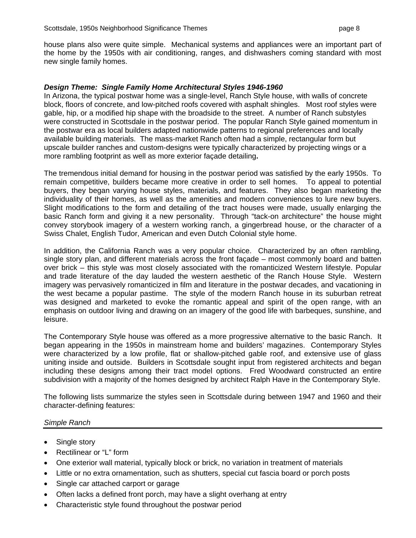house plans also were quite simple. Mechanical systems and appliances were an important part of the home by the 1950s with air conditioning, ranges, and dishwashers coming standard with most new single family homes.

#### *Design Theme: Single Family Home Architectural Styles 1946-1960*

In Arizona, the typical postwar home was a single-level, Ranch Style house, with walls of concrete block, floors of concrete, and low-pitched roofs covered with asphalt shingles. Most roof styles were gable, hip, or a modified hip shape with the broadside to the street. A number of Ranch substyles were constructed in Scottsdale in the postwar period. The popular Ranch Style gained momentum in the postwar era as local builders adapted nationwide patterns to regional preferences and locally available building materials. The mass-market Ranch often had a simple, rectangular form but upscale builder ranches and custom-designs were typically characterized by projecting wings or a more rambling footprint as well as more exterior façade detailing**.**

The tremendous initial demand for housing in the postwar period was satisfied by the early 1950s. To remain competitive, builders became more creative in order to sell homes. To appeal to potential buyers, they began varying house styles, materials, and features. They also began marketing the individuality of their homes, as well as the amenities and modern conveniences to lure new buyers. Slight modifications to the form and detailing of the tract houses were made, usually enlarging the basic Ranch form and giving it a new personality. Through "tack-on architecture" the house might convey storybook imagery of a western working ranch, a gingerbread house, or the character of a Swiss Chalet, English Tudor, American and even Dutch Colonial style home.

In addition, the California Ranch was a very popular choice. Characterized by an often rambling, single story plan, and different materials across the front façade – most commonly board and batten over brick – this style was most closely associated with the romanticized Western lifestyle. Popular and trade literature of the day lauded the western aesthetic of the Ranch House Style. Western imagery was pervasively romanticized in film and literature in the postwar decades, and vacationing in the west became a popular pastime. The style of the modern Ranch house in its suburban retreat was designed and marketed to evoke the romantic appeal and spirit of the open range, with an emphasis on outdoor living and drawing on an imagery of the good life with barbeques, sunshine, and leisure.

The Contemporary Style house was offered as a more progressive alternative to the basic Ranch. It began appearing in the 1950s in mainstream home and builders' magazines. Contemporary Styles were characterized by a low profile, flat or shallow-pitched gable roof, and extensive use of glass uniting inside and outside. Builders in Scottsdale sought input from registered architects and began including these designs among their tract model options. Fred Woodward constructed an entire subdivision with a majority of the homes designed by architect Ralph Have in the Contemporary Style.

The following lists summarize the styles seen in Scottsdale during between 1947 and 1960 and their character-defining features:

## *Simple Ranch*

- Single story
- Rectilinear or "L" form
- One exterior wall material, typically block or brick, no variation in treatment of materials
- Little or no extra ornamentation, such as shutters, special cut fascia board or porch posts
- Single car attached carport or garage
- Often lacks a defined front porch, may have a slight overhang at entry
- Characteristic style found throughout the postwar period